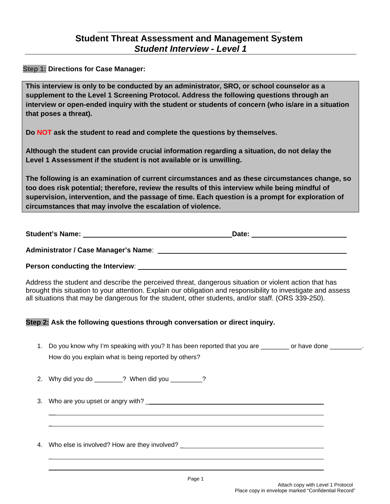**Step 1: Directions for Case Manager:**

**This interview is only to be conducted by an administrator, SRO, or school counselor as a supplement to the Level 1 Screening Protocol. Address the following questions through an interview or open-ended inquiry with the student or students of concern (who is/are in a situation that poses a threat).**

**Do NOT ask the student to read and complete the questions by themselves.** 

**Although the student can provide crucial information regarding a situation, do not delay the Level 1 Assessment if the student is not available or is unwilling.**

**The following is an examination of current circumstances and as these circumstances change, so too does risk potential; therefore, review the results of this interview while being mindful of supervision, intervention, and the passage of time. Each question is a prompt for exploration of circumstances that may involve the escalation of violence.**

| <b>Student's Name:</b><br>Date: |  |
|---------------------------------|--|
|---------------------------------|--|

**Administrator / Case Manager's Name**:

**Person conducting the Interview**:

Address the student and describe the perceived threat, dangerous situation or violent action that has brought this situation to your attention. Explain our obligation and responsibility to investigate and assess all situations that may be dangerous for the student, other students, and/or staff. (ORS 339-250).

## **Step 2: Ask the following questions through conversation or direct inquiry.**

- 1. Do you know why I'm speaking with you? It has been reported that you are \_\_\_\_\_\_\_\_ or have done \_\_\_\_\_\_\_\_\_. How do you explain what is being reported by others?
- 2. Why did you do 2 When did you 2

3. Who are you upset or angry with? \_

4. Who else is involved? How are they involved? \_

 $\overline{\phantom{a}}$  $\overline{a}$ 

\_  $\overline{a}$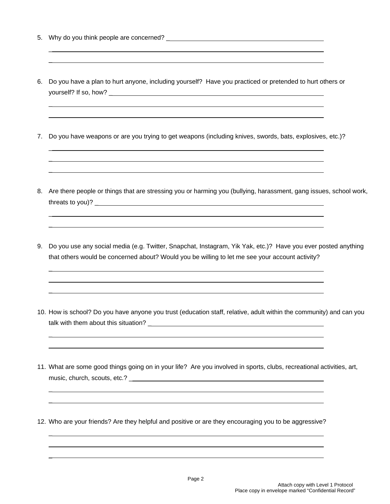5. Why do you think people are concerned? \_

\_  $\overline{a}$ 

\_  $\overline{a}$ 

\_  $\overline{a}$  $\overline{a}$ 

\_  $\overline{a}$ 

 $\overline{a}$  $\overline{a}$  $\overline{a}$ 

\_  $\overline{a}$ 

\_  $\overline{a}$ 

\_  $\overline{a}$  $\overline{a}$ 

- 6. Do you have a plan to hurt anyone, including yourself? Have you practiced or pretended to hurt others or yourself? If so, how? \_
- 7. Do you have weapons or are you trying to get weapons (including knives, swords, bats, explosives, etc.)?
- 8. Are there people or things that are stressing you or harming you (bullying, harassment, gang issues, school work, threats to you)? \_
- 9. Do you use any social media (e.g. Twitter, Snapchat, Instagram, Yik Yak, etc.)? Have you ever posted anything that others would be concerned about? Would you be willing to let me see your account activity?
- 10. How is school? Do you have anyone you trust (education staff, relative, adult within the community) and can you talk with them about this situation? \_
- 11. What are some good things going on in your life? Are you involved in sports, clubs, recreational activities, art, music, church, scouts, etc.? \_

12. Who are your friends? Are they helpful and positive or are they encouraging you to be aggressive?